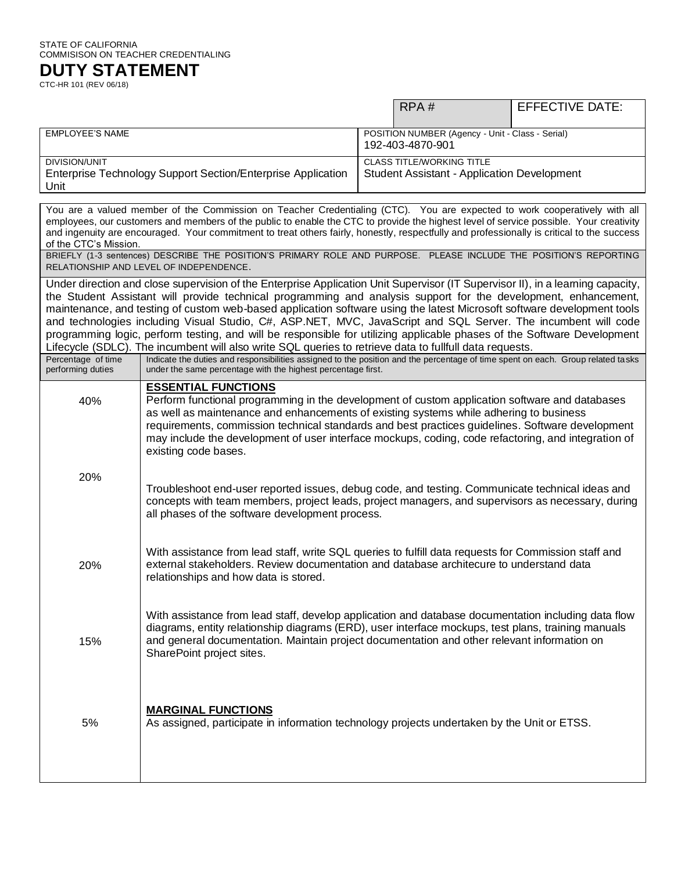#### STATE OF CALIFORNIA COMMISISON ON TEACHER CREDENTIALING

**DUTY STATEMENT** CTC-HR 101 (REV 06/18)

RPA # EFFECTIVE DATE: EMPLOYEE'S NAME POSITION NUMBER (Agency - Unit - Class - Serial) 192-403-4870-901 DIVISION/UNIT Enterprise Technology Support Section/Enterprise Application Unit CLASS TITLE/WORKING TITLE Student Assistant - Application Development

You are a valued member of the Commission on Teacher Credentialing (CTC). You are expected to work cooperatively with all employees, our customers and members of the public to enable the CTC to provide the highest level of service possible. Your creativity and ingenuity are encouraged. Your commitment to treat others fairly, honestly, respectfully and professionally is critical to the success of the CTC's Mission.

BRIEFLY (1-3 sentences) DESCRIBE THE POSITION'S PRIMARY ROLE AND PURPOSE. PLEASE INCLUDE THE POSITION'S REPORTING RELATIONSHIP AND LEVEL OF INDEPENDENCE.

Under direction and close supervision of the Enterprise Application Unit Supervisor (IT Supervisor II), in a learning capacity, the Student Assistant will provide technical programming and analysis support for the development, enhancement, maintenance, and testing of custom web-based application software using the latest Microsoft software development tools and technologies including Visual Studio, C#, ASP.NET, MVC, JavaScript and SQL Server. The incumbent will code programming logic, perform testing, and will be responsible for utilizing applicable phases of the Software Development Lifecycle (SDLC). The incumbent will also write SQL queries to retrieve data to fullfull data requests.

| Percentage of time<br>performing duties | Indicate the duties and responsibilities assigned to the position and the percentage of time spent on each. Group related tasks<br>under the same percentage with the highest percentage first.                                                                                                                                                                                                                                                           |
|-----------------------------------------|-----------------------------------------------------------------------------------------------------------------------------------------------------------------------------------------------------------------------------------------------------------------------------------------------------------------------------------------------------------------------------------------------------------------------------------------------------------|
| 40%                                     | <b>ESSENTIAL FUNCTIONS</b><br>Perform functional programming in the development of custom application software and databases<br>as well as maintenance and enhancements of existing systems while adhering to business<br>requirements, commission technical standards and best practices guidelines. Software development<br>may include the development of user interface mockups, coding, code refactoring, and integration of<br>existing code bases. |
| 20%                                     | Troubleshoot end-user reported issues, debug code, and testing. Communicate technical ideas and<br>concepts with team members, project leads, project managers, and supervisors as necessary, during<br>all phases of the software development process.                                                                                                                                                                                                   |
| 20%                                     | With assistance from lead staff, write SQL queries to fulfill data requests for Commission staff and<br>external stakeholders. Review documentation and database architecure to understand data<br>relationships and how data is stored.                                                                                                                                                                                                                  |
| 15%                                     | With assistance from lead staff, develop application and database documentation including data flow<br>diagrams, entity relationship diagrams (ERD), user interface mockups, test plans, training manuals<br>and general documentation. Maintain project documentation and other relevant information on<br>SharePoint project sites.                                                                                                                     |
| 5%                                      | <b>MARGINAL FUNCTIONS</b><br>As assigned, participate in information technology projects undertaken by the Unit or ETSS.                                                                                                                                                                                                                                                                                                                                  |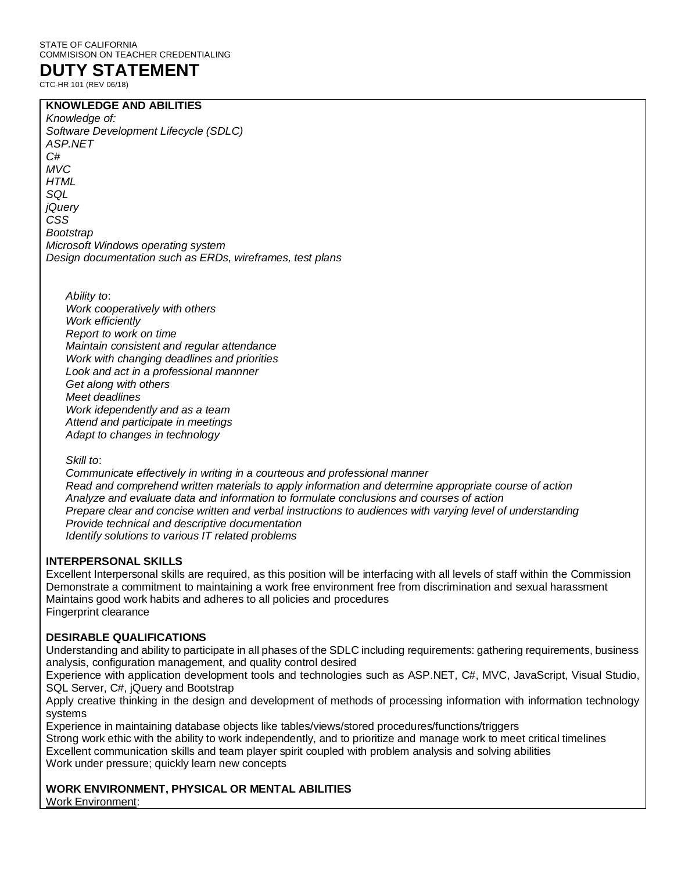#### STATE OF CALIFORNIA COMMISISON ON TEACHER CREDENTIALING

# **DUTY STATEMENT**

CTC-HR 101 (REV 06/18)

## **KNOWLEDGE AND ABILITIES**

*Knowledge of: Software Development Lifecycle (SDLC) ASP.NET C# MVC HTML SQL jQuery CSS Bootstrap Microsoft Windows operating system Design documentation such as ERDs, wireframes, test plans*

*Ability to*: *Work cooperatively with others Work efficiently Report to work on time Maintain consistent and regular attendance Work with changing deadlines and priorities Look and act in a professional mannner Get along with others Meet deadlines Work idependently and as a team Attend and participate in meetings Adapt to changes in technology*

*Skill to*:

*Communicate effectively in writing in a courteous and professional manner Read and comprehend written materials to apply information and determine appropriate course of action Analyze and evaluate data and information to formulate conclusions and courses of action Prepare clear and concise written and verbal instructions to audiences with varying level of understanding Provide technical and descriptive documentation Identify solutions to various IT related problems*

### **INTERPERSONAL SKILLS**

Excellent Interpersonal skills are required, as this position will be interfacing with all levels of staff within the Commission Demonstrate a commitment to maintaining a work free environment free from discrimination and sexual harassment Maintains good work habits and adheres to all policies and procedures Fingerprint clearance

### **DESIRABLE QUALIFICATIONS**

Understanding and ability to participate in all phases of the SDLC including requirements: gathering requirements, business analysis, configuration management, and quality control desired

Experience with application development tools and technologies such as ASP.NET, C#, MVC, JavaScript, Visual Studio, SQL Server, C#, jQuery and Bootstrap

Apply creative thinking in the design and development of methods of processing information with information technology systems

Experience in maintaining database objects like tables/views/stored procedures/functions/triggers Strong work ethic with the ability to work independently, and to prioritize and manage work to meet critical timelines Excellent communication skills and team player spirit coupled with problem analysis and solving abilities Work under pressure; quickly learn new concepts

**WORK ENVIRONMENT, PHYSICAL OR MENTAL ABILITIES** Work Environment: